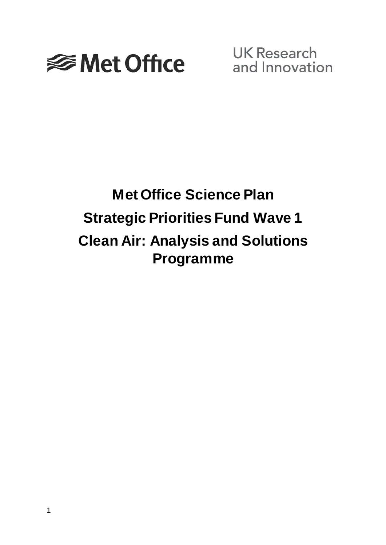

**UK Research** and Innovation

# **Met Office Science Plan Strategic Priorities Fund Wave 1 Clean Air: Analysis and Solutions Programme**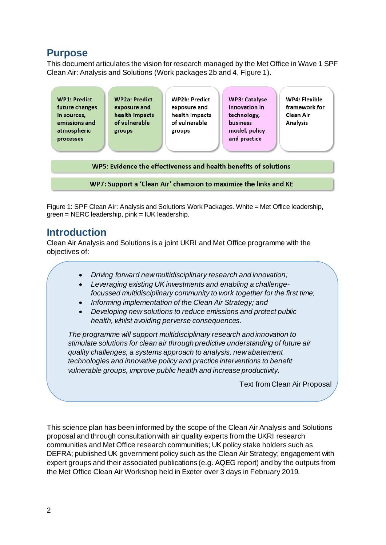## **Purpose**

This document articulates the vision for research managed by the Met Office in Wave 1 SPF Clean Air: Analysis and Solutions (Work packages 2b and 4, Figure 1).

| <b>WP1: Predict</b><br>future changes<br>in sources,<br>emissions and<br>atmospheric<br>processes | <b>WP2a: Predict</b><br>exposure and<br>health impacts<br>of vulnerable<br>groups | <b>WP2b: Predict</b><br>exposure and<br>health impacts<br>of vulnerable<br>groups | <b>WP3: Catalyse</b><br>innovation in<br>technology,<br><b>business</b><br>model, policy<br>and practice | WP4: Flexible<br>framework for<br>Clean Air<br>Analysis |  |  |
|---------------------------------------------------------------------------------------------------|-----------------------------------------------------------------------------------|-----------------------------------------------------------------------------------|----------------------------------------------------------------------------------------------------------|---------------------------------------------------------|--|--|
| WP5: Evidence the effectiveness and health benefits of solutions                                  |                                                                                   |                                                                                   |                                                                                                          |                                                         |  |  |

WP7: Support a 'Clean Air' champion to maximize the links and KE

Figure 1: SPF Clean Air: Analysis and Solutions Work Packages. White = Met Office leadership, green = NERC leadership, pink = IUK leadership.

## **Introduction**

Clean Air Analysis and Solutions is a joint UKRI and Met Office programme with the objectives of:

- *Driving forward new multidisciplinary research and innovation;*
- *Leveraging existing UK investments and enabling a challengefocussed multidisciplinary community to work together for the first time;*
- *Informing implementation of the Clean Air Strategy; and*
- *Developing new solutions to reduce emissions and protect public health, whilst avoiding perverse consequences.*

*The programme will support multidisciplinary research and innovation to stimulate solutions for clean air through predictive understanding of future air quality challenges, a systems approach to analysis, new abatement technologies and innovative policy and practice interventions to benefit vulnerable groups, improve public health and increase productivity.*

Text from Clean Air Proposal

This science plan has been informed by the scope of the Clean Air Analysis and Solutions proposal and through consultation with air quality experts from the UKRI research communities and Met Office research communities; UK policy stake holders such as DEFRA; published UK government policy such as the Clean Air Strategy; engagement with expert groups and their associated publications (e.g. AQEG report) and by the outputs from the Met Office Clean Air Workshop held in Exeter over 3 days in February 2019.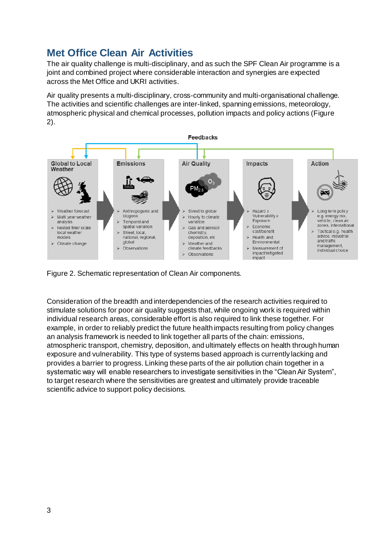# **Met Office Clean Air Activities**

The air quality challenge is multi-disciplinary, and as such the SPF Clean Air programme is a joint and combined project where considerable interaction and synergies are expected across the Met Office and UKRI activities.

Air quality presents a multi-disciplinary, cross-community and multi-organisational challenge. The activities and scientific challenges are inter-linked, spanning emissions, meteorology, atmospheric physical and chemical processes, pollution impacts and policy actions (Figure 2).



Figure 2. Schematic representation of Clean Air components.

Consideration of the breadth and interdependencies of the research activities required to stimulate solutions for poor air quality suggests that, while ongoing work is required within individual research areas, considerable effort is also required to link these together. For example, in order to reliably predict the future health impacts resulting from policy changes an analysis framework is needed to link together all parts of the chain: emissions, atmospheric transport, chemistry, deposition, and ultimately effects on health through human exposure and vulnerability. This type of systems based approach is currently lacking and provides a barrier to progress. Linking these parts of the air pollution chain together in a systematic way will enable researchers to investigate sensitivities in the "Clean Air System", to target research where the sensitivities are greatest and ultimately provide traceable scientific advice to support policy decisions.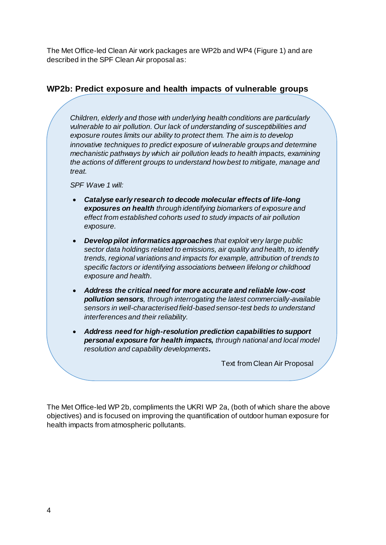The Met Office-led Clean Air work packages are WP2b and WP4 (Figure 1) and are described in the SPF Clean Air proposal as:

#### **WP2b: Predict exposure and health impacts of vulnerable groups**

*Children, elderly and those with underlying health conditions are particularly vulnerable to air pollution. Our lack of understanding of susceptibilities and exposure routes limits our ability to protect them. The aim is to develop innovative techniques to predict exposure of vulnerable groups and determine mechanistic pathways by which air pollution leads to health impacts, examining the actions of different groups to understand how best to mitigate, manage and treat.*

*SPF Wave 1 will:*

- *Catalyse early research to decode molecular effects of life-long exposures on health through identifying biomarkers of exposure and effect from established cohorts used to study impacts of air pollution exposure.*
- *Develop pilot informatics approaches that exploit very large public sector data holdings related to emissions, air quality and health, to identify trends, regional variations and impacts for example, attribution of trends to specific factors or identifying associations between lifelong or childhood exposure and health.*
- *Address the critical need for more accurate and reliable low-cost pollution sensors, through interrogating the latest commercially-available sensors in well-characterised field-based sensor-test beds to understand interferences and their reliability.*
- *Address need for high-resolution prediction capabilities to support personal exposure for health impacts, through national and local model resolution and capability developments.*

Text from Clean Air Proposal

The Met Office-led WP 2b, compliments the UKRI WP 2a, (both of which share the above objectives) and is focused on improving the quantification of outdoor human exposure for health impacts from atmospheric pollutants.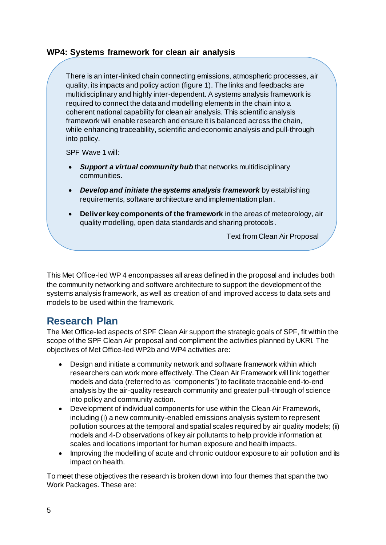## **WP4: Systems framework for clean air analysis**

There is an inter-linked chain connecting emissions, atmospheric processes, air quality, its impacts and policy action (figure 1). The links and feedbacks are multidisciplinary and highly inter-dependent. A systems analysis framework is required to connect the data and modelling elements in the chain into a coherent national capability for clean air analysis. This scientific analysis framework will enable research and ensure it is balanced across the chain, while enhancing traceability, scientific and economic analysis and pull-through into policy.

SPF Wave 1 will:

- *Support a virtual community hub* that networks multidisciplinary communities.
- *Develop and initiate the systems analysis framework* by establishing requirements, software architecture and implementation plan.
- **Deliver key components of the framework** in the areas of meteorology, air quality modelling, open data standards and sharing protocols.

Text from Clean Air Proposal

This Met Office-led WP 4 encompasses all areas defined in the proposal and includes both the community networking and software architecture to support the development of the systems analysis framework, as well as creation of and improved access to data sets and models to be used within the framework.

## **Research Plan**

The Met Office-led aspects of SPF Clean Air support the strategic goals of SPF, fit within the scope of the SPF Clean Air proposal and compliment the activities planned by UKRI. The objectives of Met Office-led WP2b and WP4 activities are:

- Design and initiate a community network and software framework within which researchers can work more effectively. The Clean Air Framework will link together models and data (referred to as "components") to facilitate traceable end-to-end analysis by the air-quality research community and greater pull-through of science into policy and community action.
- Development of individual components for use within the Clean Air Framework, including (i) a new community-enabled emissions analysis system to represent pollution sources at the temporal and spatial scales required by air quality models; (ii) models and 4-D observations of key air pollutants to help provide information at scales and locations important for human exposure and health impacts.
- Improving the modelling of acute and chronic outdoor exposure to air pollution and its impact on health.

To meet these objectives the research is broken down into four themes that span the two Work Packages. These are: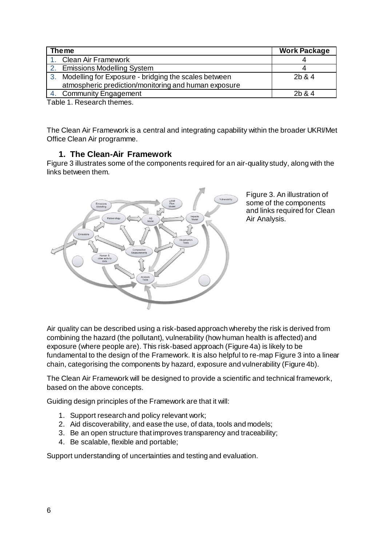| <b>The me</b>                                           | <b>Work Package</b> |
|---------------------------------------------------------|---------------------|
| <b>Clean Air Framework</b>                              |                     |
| 2. Emissions Modelling System                           |                     |
| 3. Modelling for Exposure - bridging the scales between | 2b & 4              |
| atmospheric prediction/monitoring and human exposure    |                     |
| 4. Community Engagement                                 | 2b & 4              |

Table 1. Research themes.

The Clean Air Framework is a central and integrating capability within the broader UKRI/Met Office Clean Air programme.

#### **1. The Clean-Air Framework**

Figure 3 illustrates some of the components required for an air-quality study, along with the links between them.



Figure 3. An illustration of some of the components and links required for Clean Air Analysis.

Air quality can be described using a risk-based approach whereby the risk is derived from combining the hazard (the pollutant), vulnerability (how human health is affected) and exposure (where people are). This risk-based approach (Figure 4a) is likely to be fundamental to the design of the Framework. It is also helpful to re-map Figure 3 into a linear chain, categorising the components by hazard, exposure and vulnerability (Figure 4b).

The Clean Air Framework will be designed to provide a scientific and technical framework, based on the above concepts.

Guiding design principles of the Framework are that it will:

- 1. Support research and policy relevant work;
- 2. Aid discoverability, and ease the use, of data, tools and models;
- 3. Be an open structure that improves transparency and traceability;
- 4. Be scalable, flexible and portable;

Support understanding of uncertainties and testing and evaluation.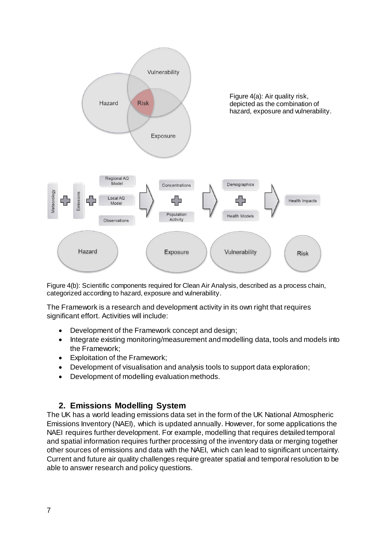

Figure 4(b): Scientific components required for Clean Air Analysis, described as a process chain, categorized according to hazard, exposure and vulnerability.

The Framework is a research and development activity in its own right that requires significant effort. Activities will include:

- Development of the Framework concept and design;
- Integrate existing monitoring/measurement and modelling data, tools and models into the Framework;
- Exploitation of the Framework;
- Development of visualisation and analysis tools to support data exploration;
- Development of modelling evaluation methods.

## **2. Emissions Modelling System**

The UK has a world leading emissions data set in the form of the UK National Atmospheric Emissions Inventory (NAEI), which is updated annually. However, for some applications the NAEI requires further development. For example, modelling that requires detailed temporal and spatial information requires further processing of the inventory data or merging together other sources of emissions and data with the NAEI, which can lead to significant uncertainty. Current and future air quality challenges require greater spatial and temporal resolution to be able to answer research and policy questions.